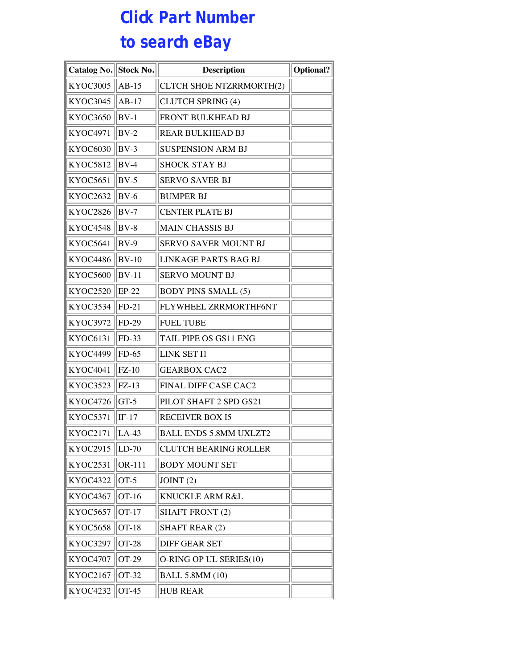## **Click Part Number to search eBay**

| <b>Catalog No.</b> | <b>Stock No.</b> | <b>Description</b>            | <b>Optional?</b> |
|--------------------|------------------|-------------------------------|------------------|
| KYOC3005           | $AB-15$          | CLTCH SHOE NTZRRMORTH(2)      |                  |
| <b>KYOC3045</b>    | $AB-17$          | <b>CLUTCH SPRING (4)</b>      |                  |
| KYOC3650           | $BV-1$           | FRONT BULKHEAD BJ             |                  |
| KYOC4971           | $BV-2$           | <b>REAR BULKHEAD BJ</b>       |                  |
| KYOC6030           | $BV-3$           | <b>SUSPENSION ARM BJ</b>      |                  |
| KYOC5812           | $BV-4$           | <b>SHOCK STAY BJ</b>          |                  |
| KYOC5651           | $BV-5$           | <b>SERVO SAVER BJ</b>         |                  |
| KYOC2632           | $BV-6$           | <b>BUMPER BJ</b>              |                  |
| KYOC2826           | $BV-7$           | <b>CENTER PLATE BJ</b>        |                  |
| <b>KYOC4548</b>    | $BV-8$           | <b>MAIN CHASSIS BJ</b>        |                  |
| <b>KYOC5641</b>    | $BV-9$           | SERVO SAVER MOUNT BJ          |                  |
| KYOC4486           | $BV-10$          | <b>LINKAGE PARTS BAG BJ</b>   |                  |
| KYOC5600           | $BV-11$          | <b>SERVO MOUNT BJ</b>         |                  |
| KYOC2520           | $EP-22$          | <b>BODY PINS SMALL (5)</b>    |                  |
| KYOC3534           | $FD-21$          | FLYWHEEL ZRRMORTHF6NT         |                  |
| <b>KYOC3972</b>    | FD-29            | <b>FUEL TUBE</b>              |                  |
| KYOC6131           | FD-33            | TAIL PIPE OS GS11 ENG         |                  |
| KYOC4499           | $FD-65$          | LINK SET I1                   |                  |
| KYOC4041           | $FZ-10$          | <b>GEARBOX CAC2</b>           |                  |
| KYOC3523           | $FZ-13$          | FINAL DIFF CASE CAC2          |                  |
| KYOC4726           | $GT-5$           | PILOT SHAFT 2 SPD GS21        |                  |
| <b>KYOC5371</b>    | $IF-17$          | <b>RECEIVER BOX I5</b>        |                  |
| <b>KYOC2171</b>    | $LA-43$          | <b>BALL ENDS 5.8MM UXLZT2</b> |                  |
| KYOC2915           | $LD-70$          | <b>CLUTCH BEARING ROLLER</b>  |                  |
| KYOC2531           | OR-111           | <b>BODY MOUNT SET</b>         |                  |
| <b>KYOC4322</b>    | $OT-5$           | JOINT(2)                      |                  |
| KYOC4367           | OT-16            | KNUCKLE ARM R&L               |                  |
| KYOC5657           | OT-17            | <b>SHAFT FRONT (2)</b>        |                  |
| <b>KYOC5658</b>    | <b>OT-18</b>     | <b>SHAFT REAR (2)</b>         |                  |
| <b>KYOC3297</b>    | <b>OT-28</b>     | <b>DIFF GEAR SET</b>          |                  |
| KYOC4707           | OT-29            | O-RING OP UL SERIES(10)       |                  |
| KYOC2167           | OT-32            | <b>BALL 5.8MM (10)</b>        |                  |
| KYOC4232           | <b>OT-45</b>     | <b>HUB REAR</b>               |                  |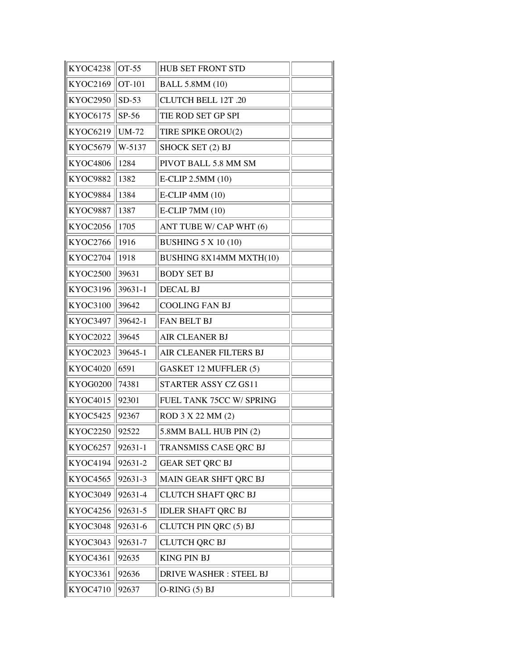| KYOC4238        | OT-55        | <b>HUB SET FRONT STD</b>      |  |
|-----------------|--------------|-------------------------------|--|
| KYOC2169        | OT-101       | <b>BALL 5.8MM (10)</b>        |  |
| <b>KYOC2950</b> | $SD-53$      | <b>CLUTCH BELL 12T .20</b>    |  |
| <b>KYOC6175</b> | SP-56        | TIE ROD SET GP SPI            |  |
| KYOC6219        | <b>UM-72</b> | TIRE SPIKE OROU(2)            |  |
| <b>KYOC5679</b> | W-5137       | SHOCK SET (2) BJ              |  |
| <b>KYOC4806</b> | 1284         | PIVOT BALL 5.8 MM SM          |  |
| KYOC9882        | 1382         | E-CLIP 2.5MM (10)             |  |
| KYOC9884        | 1384         | E-CLIP 4MM (10)               |  |
| <b>KYOC9887</b> | 1387         | E-CLIP 7MM (10)               |  |
| <b>KYOC2056</b> | 1705         | ANT TUBE W/ CAP WHT (6)       |  |
| KYOC2766        | 1916         | <b>BUSHING 5 X 10 (10)</b>    |  |
| KYOC2704        | 1918         | BUSHING 8X14MM MXTH(10)       |  |
| KYOC2500        | 39631        | <b>BODY SET BJ</b>            |  |
| KYOC3196        | 39631-1      | <b>DECAL BJ</b>               |  |
| KYOC3100        | 39642        | <b>COOLING FAN BJ</b>         |  |
| <b>KYOC3497</b> | 39642-1      | FAN BELT BJ                   |  |
| <b>KYOC2022</b> | 39645        | AIR CLEANER BJ                |  |
| <b>KYOC2023</b> | 39645-1      | AIR CLEANER FILTERS BJ        |  |
| <b>KYOC4020</b> | 6591         | GASKET 12 MUFFLER (5)         |  |
| KYOG0200        | 74381        | STARTER ASSY CZ GS11          |  |
| KYOC4015        | 92301        | FUEL TANK 75CC W/ SPRING      |  |
| <b>KYOC5425</b> | 92367        | ROD 3 X 22 MM (2)             |  |
| KYOC2250        | 92522        | 5.8MM BALL HUB PIN (2)        |  |
| <b>KYOC6257</b> | 92631-1      | TRANSMISS CASE QRC BJ         |  |
| KYOC4194        | 92631-2      | <b>GEAR SET QRC BJ</b>        |  |
| <b>KYOC4565</b> | 92631-3      | MAIN GEAR SHFT QRC BJ         |  |
| KYOC3049        | 92631-4      | CLUTCH SHAFT QRC BJ           |  |
| KYOC4256        | 92631-5      | <b>IDLER SHAFT QRC BJ</b>     |  |
| KYOC3048        | 92631-6      | CLUTCH PIN QRC (5) BJ         |  |
| KYOC3043        | 92631-7      | <b>CLUTCH QRC BJ</b>          |  |
| KYOC4361        | 92635        | <b>KING PIN BJ</b>            |  |
| KYOC3361        | 92636        | <b>DRIVE WASHER: STEEL BJ</b> |  |
| <b>KYOC4710</b> | 92637        | $O-RING(5) BJ$                |  |